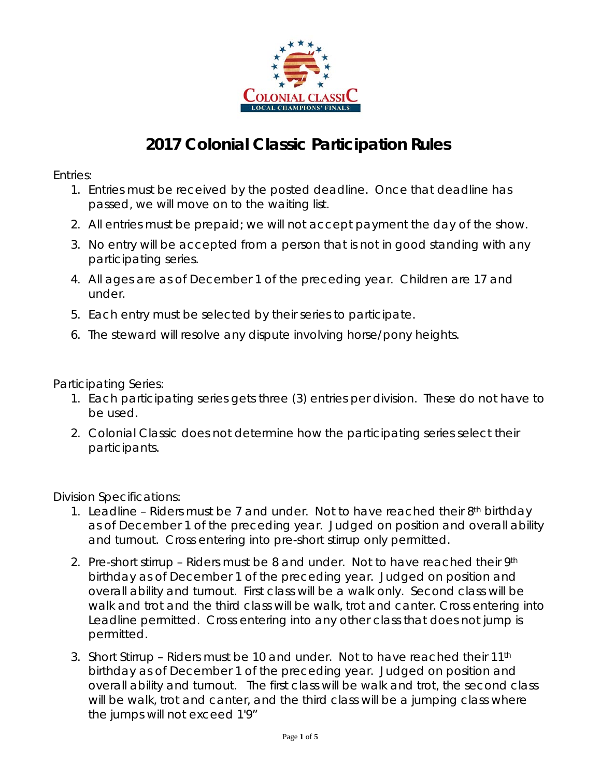

## **2017 Colonial Classic Participation Rules**

*Entries:* 

- 1. Entries must be received by the posted deadline. Once that deadline has passed, we will move on to the waiting list.
- 2. All entries must be prepaid; we will not accept payment the day of the show.
- 3. No entry will be accepted from a person that is not in good standing with any participating series.
- 4. All ages are as of December 1 of the preceding year. Children are 17 and under.
- 5. Each entry must be selected by their series to participate.
- 6. The steward will resolve any dispute involving horse/pony heights.

*Participating Series:*

- 1. Each participating series gets three (3) entries per division. These do not have to be used.
- 2. Colonial Classic does not determine how the participating series select their participants.

*Division Specifications:*

- 1. Leadline Riders must be 7 and under. Not to have reached their  $8<sup>th</sup>$  birthday as of December 1 of the preceding year. Judged on position and overall ability and turnout. Cross entering into pre-short stirrup only permitted.
- 2. Pre-short stirrup Riders must be 8 and under. Not to have reached their 9th birthday as of December 1 of the preceding year. Judged on position and overall ability and turnout. First class will be a walk only. Second class will be walk and trot and the third class will be walk, trot and canter. Cross entering into Leadline permitted. Cross entering into any other class that does not jump is permitted.
- 3. Short Stirrup Riders must be 10 and under. Not to have reached their 11th birthday as of December 1 of the preceding year. Judged on position and overall ability and turnout. The first class will be walk and trot, the second class will be walk, trot and canter, and the third class will be a jumping class where the jumps will not exceed 1'9"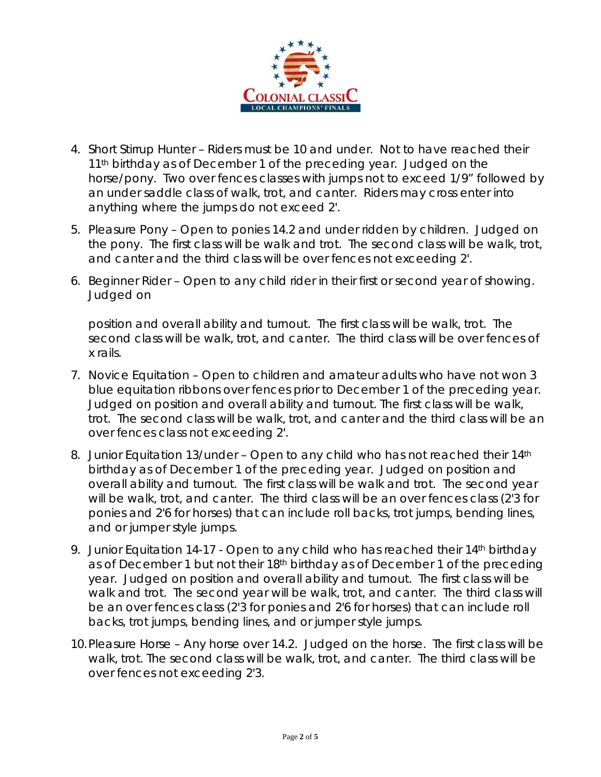

- 4. Short Stirrup Hunter Riders must be 10 and under. Not to have reached their 11<sup>th</sup> birthday as of December 1 of the preceding year. Judged on the horse/pony. Two over fences classes with jumps not to exceed 1/9" followed by an under saddle class of walk, trot, and canter. Riders may cross enter into anything where the jumps do not exceed 2'.
- 5. Pleasure Pony Open to ponies 14.2 and under ridden by children. Judged on the pony. The first class will be walk and trot. The second class will be walk, trot, and canter and the third class will be over fences not exceeding 2'.
- 6. Beginner Rider Open to any child rider in their first or second year of showing. Judged on

position and overall ability and turnout. The first class will be walk, trot. The second class will be walk, trot, and canter. The third class will be over fences of x rails.

- 7. Novice Equitation Open to children and amateur adults who have not won 3 blue equitation ribbons over fences prior to December 1 of the preceding year. Judged on position and overall ability and turnout. The first class will be walk, trot. The second class will be walk, trot, and canter and the third class will be an over fences class not exceeding 2'.
- 8. Junior Equitation 13/under Open to any child who has not reached their 14th birthday as of December 1 of the preceding year. Judged on position and overall ability and turnout. The first class will be walk and trot. The second year will be walk, trot, and canter. The third class will be an over fences class (2'3 for ponies and 2'6 for horses) that can include roll backs, trot jumps, bending lines, and or jumper style jumps.
- 9. Junior Equitation 14-17 Open to any child who has reached their 14<sup>th</sup> birthday as of December 1 but not their 18<sup>th</sup> birthday as of December 1 of the preceding year. Judged on position and overall ability and turnout. The first class will be walk and trot. The second year will be walk, trot, and canter. The third class will be an over fences class (2'3 for ponies and 2'6 for horses) that can include roll backs, trot jumps, bending lines, and or jumper style jumps.
- 10.Pleasure Horse Any horse over 14.2. Judged on the horse. The first class will be walk, trot. The second class will be walk, trot, and canter. The third class will be over fences not exceeding 2'3.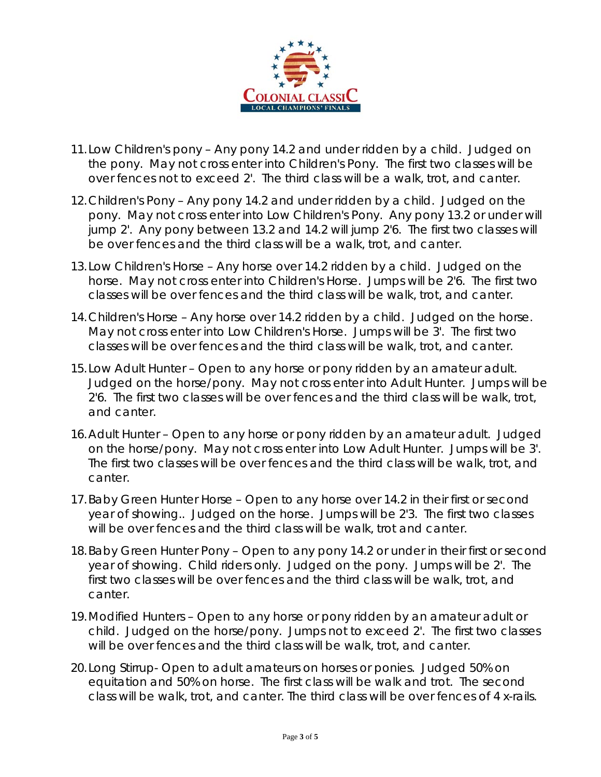

- 11.Low Children's pony Any pony 14.2 and under ridden by a child. Judged on the pony. May not cross enter into Children's Pony. The first two classes will be over fences not to exceed 2'. The third class will be a walk, trot, and canter.
- 12.Children's Pony Any pony 14.2 and under ridden by a child. Judged on the pony. May not cross enter into Low Children's Pony. Any pony 13.2 or under will jump 2'. Any pony between 13.2 and 14.2 will jump 2'6. The first two classes will be over fences and the third class will be a walk, trot, and canter.
- 13.Low Children's Horse Any horse over 14.2 ridden by a child. Judged on the horse. May not cross enter into Children's Horse. Jumps will be 2'6. The first two classes will be over fences and the third class will be walk, trot, and canter.
- 14.Children's Horse Any horse over 14.2 ridden by a child. Judged on the horse. May not cross enter into Low Children's Horse. Jumps will be 3'. The first two classes will be over fences and the third class will be walk, trot, and canter.
- 15.Low Adult Hunter Open to any horse or pony ridden by an amateur adult. Judged on the horse/pony. May not cross enter into Adult Hunter. Jumps will be 2'6. The first two classes will be over fences and the third class will be walk, trot, and canter.
- 16.Adult Hunter Open to any horse or pony ridden by an amateur adult. Judged on the horse/pony. May not cross enter into Low Adult Hunter. Jumps will be 3'. The first two classes will be over fences and the third class will be walk, trot, and canter.
- 17.Baby Green Hunter Horse Open to any horse over 14.2 in their first or second year of showing.. Judged on the horse. Jumps will be 2'3. The first two classes will be over fences and the third class will be walk, trot and canter.
- 18.Baby Green Hunter Pony Open to any pony 14.2 or under in their first or second year of showing. Child riders only. Judged on the pony. Jumps will be 2'. The first two classes will be over fences and the third class will be walk, trot, and canter.
- 19.Modified Hunters Open to any horse or pony ridden by an amateur adult or child. Judged on the horse/pony. Jumps not to exceed 2'. The first two classes will be over fences and the third class will be walk, trot, and canter.
- 20.Long Stirrup- Open to adult amateurs on horses or ponies. Judged 50% on equitation and 50% on horse. The first class will be walk and trot. The second class will be walk, trot, and canter. The third class will be over fences of 4 x-rails.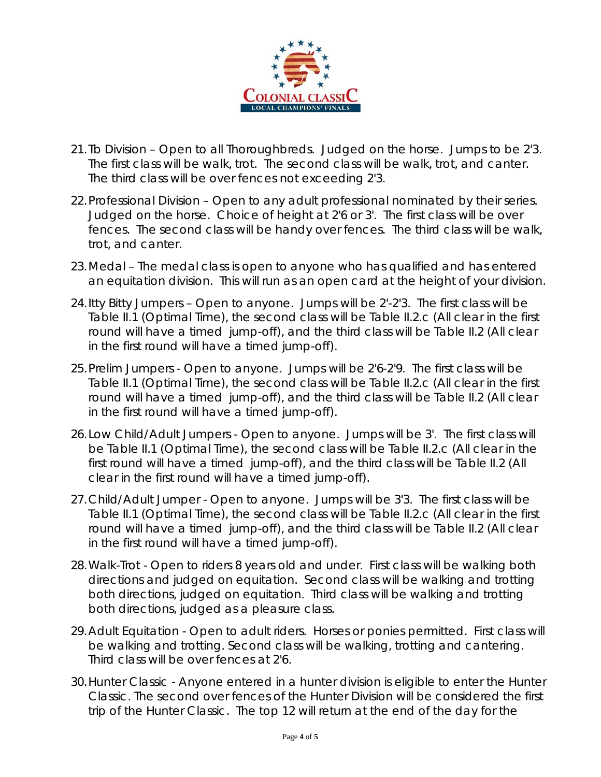

- 21. Tb Division Open to all Thoroughbreds. Judged on the horse. Jumps to be 2'3. The first class will be walk, trot. The second class will be walk, trot, and canter. The third class will be over fences not exceeding 2'3.
- 22.Professional Division Open to any adult professional nominated by their series. Judged on the horse. Choice of height at 2'6 or 3'. The first class will be over fences. The second class will be handy over fences. The third class will be walk, trot, and canter.
- 23.Medal The medal class is open to anyone who has qualified and has entered an equitation division. This will run as an open card at the height of your division.
- 24.Itty Bitty Jumpers Open to anyone. Jumps will be 2'-2'3. The first class will be Table II.1 (Optimal Time), the second class will be Table II.2.c (All clear in the first round will have a timed jump-off), and the third class will be Table II.2 (All clear in the first round will have a timed jump-off).
- 25.Prelim Jumpers Open to anyone. Jumps will be 2'6-2'9. The first class will be Table II.1 (Optimal Time), the second class will be Table II.2.c (All clear in the first round will have a timed jump-off), and the third class will be Table II.2 (All clear in the first round will have a timed jump-off).
- 26.Low Child/Adult Jumpers Open to anyone. Jumps will be 3'. The first class will be Table II.1 (Optimal Time), the second class will be Table II.2.c (All clear in the first round will have a timed jump-off), and the third class will be Table II.2 (All clear in the first round will have a timed jump-off).
- 27.Child/Adult Jumper Open to anyone. Jumps will be 3'3. The first class will be Table II.1 (Optimal Time), the second class will be Table II.2.c (All clear in the first round will have a timed jump-off), and the third class will be Table II.2 (All clear in the first round will have a timed jump-off).
- 28.Walk-Trot Open to riders 8 years old and under. First class will be walking both directions and judged on equitation. Second class will be walking and trotting both directions, judged on equitation. Third class will be walking and trotting both directions, judged as a pleasure class.
- 29.Adult Equitation Open to adult riders. Horses or ponies permitted. First class will be walking and trotting. Second class will be walking, trotting and cantering. Third class will be over fences at 2'6.
- 30.Hunter Classic Anyone entered in a hunter division is eligible to enter the Hunter Classic. The second over fences of the Hunter Division will be considered the first trip of the Hunter Classic. The top 12 will return at the end of the day for the